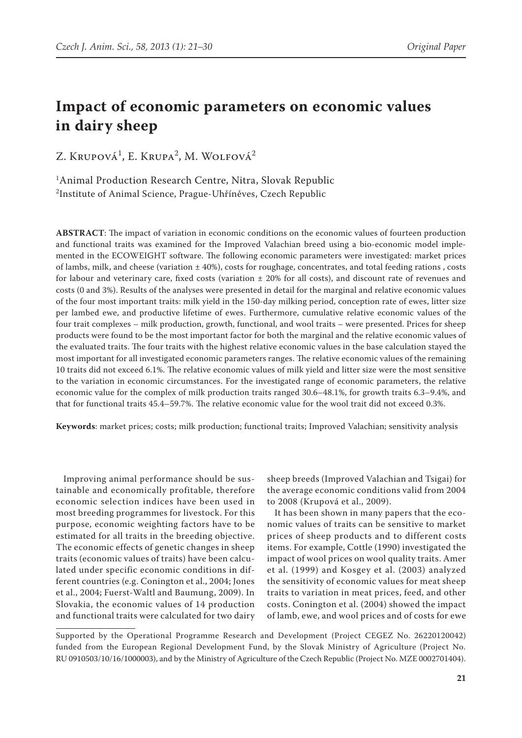# **Impact of economic parameters on economic values in dairy sheep**

Z. Krupová<sup>1</sup>, E. Krupa<sup>2</sup>, M. Wolfová<sup>2</sup>

1 Animal Production Research Centre, Nitra, Slovak Republic 2 Institute of Animal Science, Prague-Uhříněves, Czech Republic

**ABSTRACT**: The impact of variation in economic conditions on the economic values of fourteen production and functional traits was examined for the Improved Valachian breed using a bio-economic model implemented in the ECOWEIGHT software. The following economic parameters were investigated: market prices of lambs, milk, and cheese (variation  $\pm$  40%), costs for roughage, concentrates, and total feeding rations, costs for labour and veterinary care, fixed costs (variation ± 20% for all costs), and discount rate of revenues and costs (0 and 3%). Results of the analyses were presented in detail for the marginal and relative economic values of the four most important traits: milk yield in the 150-day milking period, conception rate of ewes, litter size per lambed ewe, and productive lifetime of ewes. Furthermore, cumulative relative economic values of the four trait complexes – milk production, growth, functional, and wool traits – were presented. Prices for sheep products were found to be the most important factor for both the marginal and the relative economic values of the evaluated traits. The four traits with the highest relative economic values in the base calculation stayed the most important for all investigated economic parameters ranges. The relative economic values of the remaining 10 traits did not exceed 6.1%. The relative economic values of milk yield and litter size were the most sensitive to the variation in economic circumstances. For the investigated range of economic parameters, the relative economic value for the complex of milk production traits ranged 30.6–48.1%, for growth traits 6.3–9.4%, and that for functional traits 45.4–59.7%. The relative economic value for the wool trait did not exceed 0.3%.

**Keywords**: market prices; costs; milk production; functional traits; Improved Valachian; sensitivity analysis

Improving animal performance should be sustainable and economically profitable, therefore economic selection indices have been used in most breeding programmes for livestock. For this purpose, economic weighting factors have to be estimated for all traits in the breeding objective. The economic effects of genetic changes in sheep traits (economic values of traits) have been calculated under specific economic conditions in different countries (e.g. Conington et al., 2004; Jones et al., 2004; Fuerst-Waltl and Baumung, 2009). In Slovakia, the economic values of 14 production and functional traits were calculated for two dairy

sheep breeds (Improved Valachian and Tsigai) for the average economic conditions valid from 2004 to 2008 (Krupová et al., 2009).

It has been shown in many papers that the economic values of traits can be sensitive to market prices of sheep products and to different costs items. For example, Cottle (1990) investigated the impact of wool prices on wool quality traits. Amer et al. (1999) and Kosgey et al. (2003) analyzed the sensitivity of economic values for meat sheep traits to variation in meat prices, feed, and other costs. Conington et al. (2004) showed the impact of lamb, ewe, and wool prices and of costs for ewe

Supported by the Operational Programme Research and Development (Project CEGEZ No. 26220120042) funded from the European Regional Development Fund, by the Slovak Ministry of Agriculture (Project No. RU 0910503/10/16/1000003), and by the Ministry of Agriculture of the Czech Republic (Project No. MZE 0002701404).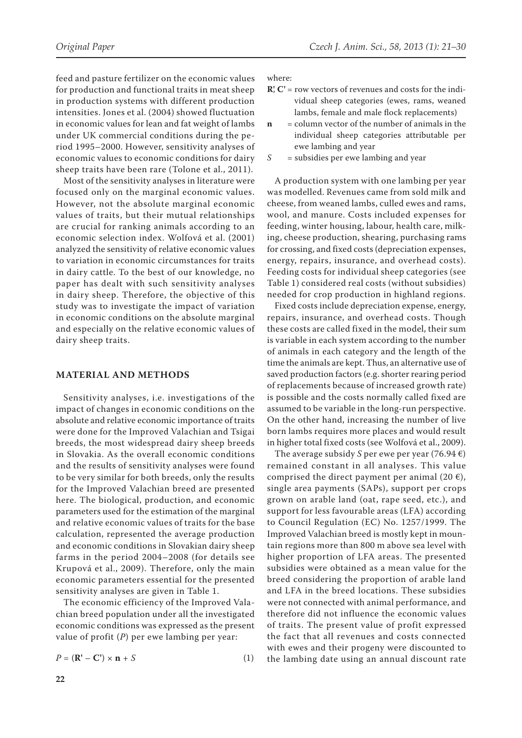feed and pasture fertilizer on the economic values for production and functional traits in meat sheep in production systems with different production intensities. Jones et al. (2004) showed fluctuation in economic values for lean and fat weight of lambs under UK commercial conditions during the period 1995–2000. However, sensitivity analyses of economic values to economic conditions for dairy sheep traits have been rare (Tolone et al., 2011).

Most of the sensitivity analyses in literature were focused only on the marginal economic values. However, not the absolute marginal economic values of traits, but their mutual relationships are crucial for ranking animals according to an economic selection index. Wolfová et al. (2001) analyzed the sensitivity of relative economic values to variation in economic circumstances for traits in dairy cattle. To the best of our knowledge, no paper has dealt with such sensitivity analyses in dairy sheep. Therefore, the objective of this study was to investigate the impact of variation in economic conditions on the absolute marginal and especially on the relative economic values of dairy sheep traits.

#### **MATERIAL AND METHODS**

Sensitivity analyses, i.e. investigations of the impact of changes in economic conditions on the absolute and relative economic importance of traits were done for the Improved Valachian and Tsigai breeds, the most widespread dairy sheep breeds in Slovakia. As the overall economic conditions and the results of sensitivity analyses were found to be very similar for both breeds, only the results for the Improved Valachian breed are presented here. The biological, production, and economic parameters used for the estimation of the marginal and relative economic values of traits for the base calculation, represented the average production and economic conditions in Slovakian dairy sheep farms in the period 2004–2008 (for details see Krupová et al., 2009). Therefore, only the main economic parameters essential for the presented sensitivity analyses are given in Table 1.

The economic efficiency of the Improved Valachian breed population under all the investigated economic conditions was expressed as the present value of profit (*P*) per ewe lambing per year:

$$
P = (\mathbf{R}^{\prime} - \mathbf{C}^{\prime}) \times \mathbf{n} + S \tag{1}
$$

where:

- **R'**, **C'** = row vectors of revenues and costs for the individual sheep categories (ewes, rams, weaned lambs, female and male flock replacements)
- **n** = column vector of the number of animals in the individual sheep categories attributable per ewe lambing and year
- *S* = subsidies per ewe lambing and year

A production system with one lambing per year was modelled. Revenues came from sold milk and cheese, from weaned lambs, culled ewes and rams, wool, and manure. Costs included expenses for feeding, winter housing, labour, health care, milking, cheese production, shearing, purchasing rams for crossing, and fixed costs (depreciation expenses, energy, repairs, insurance, and overhead costs). Feeding costs for individual sheep categories (see Table 1) considered real costs (without subsidies) needed for crop production in highland regions.

Fixed costs include depreciation expense, energy, repairs, insurance, and overhead costs. Though these costs are called fixed in the model, their sum is variable in each system according to the number of animals in each category and the length of the time the animals are kept. Thus, an alternative use of saved production factors (e.g. shorter rearing period of replacements because of increased growth rate) is possible and the costs normally called fixed are assumed to be variable in the long-run perspective. On the other hand, increasing the number of live born lambs requires more places and would result in higher total fixed costs (see Wolfová et al., 2009).

The average subsidy *S* per ewe per year (76.94  $\epsilon$ ) remained constant in all analyses. This value comprised the direct payment per animal (20  $\epsilon$ ), single area payments (SAPs), support per crops grown on arable land (oat, rape seed, etc.), and support for less favourable areas (LFA) according to Council Regulation (EC) No. 1257/1999. The Improved Valachian breed is mostly kept in mountain regions more than 800 m above sea level with higher proportion of LFA areas. The presented subsidies were obtained as a mean value for the breed considering the proportion of arable land and LFA in the breed locations. These subsidies were not connected with animal performance, and therefore did not influence the economic values of traits. The present value of profit expressed the fact that all revenues and costs connected with ewes and their progeny were discounted to the lambing date using an annual discount rate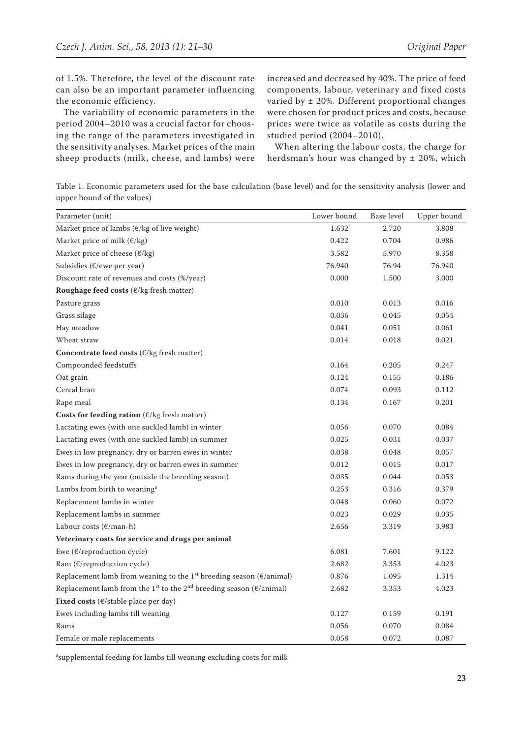of 1.5%. Therefore, the level of the discount rate can also be an important parameter influencing the economic efficiency.

The variability of economic parameters in the period 2004–2010 was a crucial factor for choosing the range of the parameters investigated in the sensitivity analyses. Market prices of the main sheep products (milk, cheese, and lambs) were increased and decreased by 40%. The price of feed components, labour, veterinary and fixed costs varied by ± 20%. Different proportional changes were chosen for product prices and costs, because prices were twice as volatile as costs during the studied period (2004–2010).

When altering the labour costs, the charge for herdsman's hour was changed by  $\pm$  20%, which

Table 1. Economic parameters used for the base calculation (base level) and for the sensitivity analysis (lower and upper bound of the values)

| Parameter (unit)                                                                                       | Lower bound | <b>Base level</b> | Upper bound |
|--------------------------------------------------------------------------------------------------------|-------------|-------------------|-------------|
| Market price of lambs ( $\epsilon$ /kg of live weight)                                                 | 1.632       | 2.720             | 3.808       |
| Market price of milk $(\epsilon / kg)$                                                                 | 0.422       | 0.704             | 0.986       |
| Market price of cheese $(\epsilon / kg)$                                                               | 3.582       | 5.970             | 8.358       |
| Subsidies (€/ewe per year)                                                                             | 76.940      | 76.94             | 76.940      |
| Discount rate of revenues and costs (%/year)                                                           | 0.000       | 1.500             | 3.000       |
| Roughage feed costs ( $\varepsilon$ /kg fresh matter)                                                  |             |                   |             |
| Pasture grass                                                                                          | 0.010       | 0.013             | 0.016       |
| Grass silage                                                                                           | 0.036       | 0.045             | 0.054       |
| Hay meadow                                                                                             | 0.041       | 0.051             | 0.061       |
| Wheat straw                                                                                            | 0.014       | 0.018             | 0.021       |
| Concentrate feed costs ( $\epsilon$ /kg fresh matter)                                                  |             |                   |             |
| Compounded feedstuffs                                                                                  | 0.164       | 0.205             | 0.247       |
| Oat grain                                                                                              | 0.124       | 0.155             | 0.186       |
| Cereal bran                                                                                            | 0.074       | 0.093             | 0.112       |
| Rape meal                                                                                              | 0.134       | 0.167             | 0.201       |
| Costs for feeding ration ( $\epsilon$ /kg fresh matter)                                                |             |                   |             |
| Lactating ewes (with one suckled lamb) in winter                                                       | 0.056       | 0.070             | 0.084       |
| Lactating ewes (with one suckled lamb) in summer                                                       | 0.025       | 0.031             | 0.037       |
| Ewes in low pregnancy, dry or barren ewes in winter                                                    | 0.038       | 0.048             | 0.057       |
| Ewes in low pregnancy, dry or barren ewes in summer                                                    | 0.012       | 0.015             | 0.017       |
| Rams during the year (outside the breeding season)                                                     | 0.035       | 0.044             | 0.053       |
| Lambs from birth to weaning <sup>a</sup>                                                               | 0.253       | 0.316             | 0.379       |
| Replacement lambs in winter                                                                            | 0.048       | 0.060             | 0.072       |
| Replacement lambs in summer                                                                            | 0.023       | 0.029             | 0.035       |
| Labour costs (€/man-h)                                                                                 | 2.656       | 3.319             | 3.983       |
| Veterinary costs for service and drugs per animal                                                      |             |                   |             |
| Ewe ( $\varepsilon$ /reproduction cycle)                                                               | 6.081       | 7.601             | 9.122       |
| Ram (€/reproduction cycle)                                                                             | 2.682       | 3.353             | 4.023       |
| Replacement lamb from weaning to the 1 <sup>st</sup> breeding season ( $\epsilon$ /animal)             | 0.876       | 1.095             | 1.314       |
| Replacement lamb from the 1 <sup>st</sup> to the 2 <sup>nd</sup> breeding season ( $\epsilon$ /animal) | 2.682       | 3.353             | 4.023       |
| Fixed costs (€/stable place per day)                                                                   |             |                   |             |
| Ewes including lambs till weaning                                                                      | 0.127       | 0.159             | 0.191       |
| Rams                                                                                                   | 0.056       | 0.070             | 0.084       |
| Female or male replacements                                                                            | 0.058       | 0.072             | 0.087       |

a supplemental feeding for lambs till weaning excluding costs for milk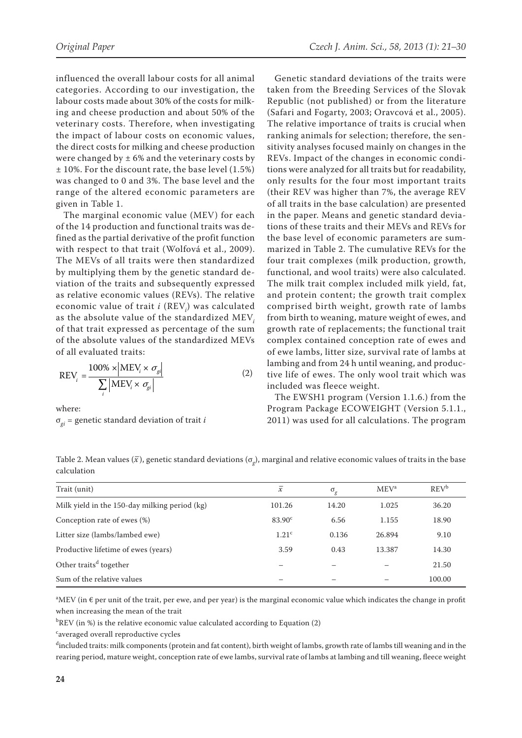influenced the overall labour costs for all animal categories. According to our investigation, the labour costs made about 30% of the costs for milking and cheese production and about 50% of the veterinary costs. Therefore, when investigating the impact of labour costs on economic values, the direct costs for milking and cheese production were changed by  $\pm 6\%$  and the veterinary costs by  $\pm$  10%. For the discount rate, the base level (1.5%) was changed to 0 and 3%. The base level and the range of the altered economic parameters are given in Table 1.

The marginal economic value (MEV) for each of the 14 production and functional traits was defined as the partial derivative of the profit function with respect to that trait (Wolfová et al., 2009). The MEVs of all traits were then standardized by multiplying them by the genetic standard deviation of the traits and subsequently expressed as relative economic values (REVs). The relative economic value of trait *i* (REV*<sup>i</sup>* ) was calculated as the absolute value of the standardized MEV*<sup>i</sup>* of that trait expressed as percentage of the sum of the absolute values of the standardized MEVs of all evaluated traits:

$$
REV_i = \frac{100\% \times |MEV_i \times \sigma_{gi}|}{\sum_{i} |MEV_i \times \sigma_{gi}|}
$$
 (2)

where:

σ*gi* = genetic standard deviation of trait *i*

Genetic standard deviations of the traits were taken from the Breeding Services of the Slovak Republic (not published) or from the literature (Safari and Fogarty, 2003; Oravcová et al., 2005). The relative importance of traits is crucial when ranking animals for selection; therefore, the sensitivity analyses focused mainly on changes in the REVs. Impact of the changes in economic conditions were analyzed for all traits but for readability, only results for the four most important traits (their REV was higher than 7%, the average REV of all traits in the base calculation) are presented in the paper. Means and genetic standard deviations of these traits and their MEVs and REVs for the base level of economic parameters are summarized in Table 2. The cumulative REVs for the four trait complexes (milk production, growth, functional, and wool traits) were also calculated. The milk trait complex included milk yield, fat, and protein content; the growth trait complex comprised birth weight, growth rate of lambs from birth to weaning, mature weight of ewes, and growth rate of replacements; the functional trait complex contained conception rate of ewes and of ewe lambs, litter size, survival rate of lambs at lambing and from 24 h until weaning, and productive life of ewes. The only wool trait which was included was fleece weight.

The EWSH1 program (Version 1.1.6.) from the Program Package ECOWEIGHT (Version 5.1.1., 2011) was used for all calculations. The program

Table 2. Mean values  $(\bar{x})$ , genetic standard deviations  $(\sigma_g)$ , marginal and relative economic values of traits in the base calculation

| Trait (unit)                                  | $\mathcal X$       | $\sigma_g$ | MEV <sup>a</sup> | $REV^b$ |
|-----------------------------------------------|--------------------|------------|------------------|---------|
| Milk yield in the 150-day milking period (kg) | 101.26             | 14.20      | 1.025            | 36.20   |
| Conception rate of ewes (%)                   | 83.90 <sup>c</sup> | 6.56       | 1.155            | 18.90   |
| Litter size (lambs/lambed ewe)                | 1.21 <sup>c</sup>  | 0.136      | 26.894           | 9.10    |
| Productive lifetime of ewes (years)           | 3.59               | 0.43       | 13.387           | 14.30   |
| Other traits <sup>d</sup> together            |                    |            |                  | 21.50   |
| Sum of the relative values                    |                    |            |                  | 100.00  |

 $^{\rm a}$ MEV (in  $\epsilon$  per unit of the trait, per ewe, and per year) is the marginal economic value which indicates the change in profit when increasing the mean of the trait

 ${}^{\rm b}$ REV (in %) is the relative economic value calculated according to Equation (2)

c averaged overall reproductive cycles

d included traits: milk components (protein and fat content), birth weight of lambs, growth rate of lambs till weaning and in the rearing period, mature weight, conception rate of ewe lambs, survival rate of lambs at lambing and till weaning, fleece weight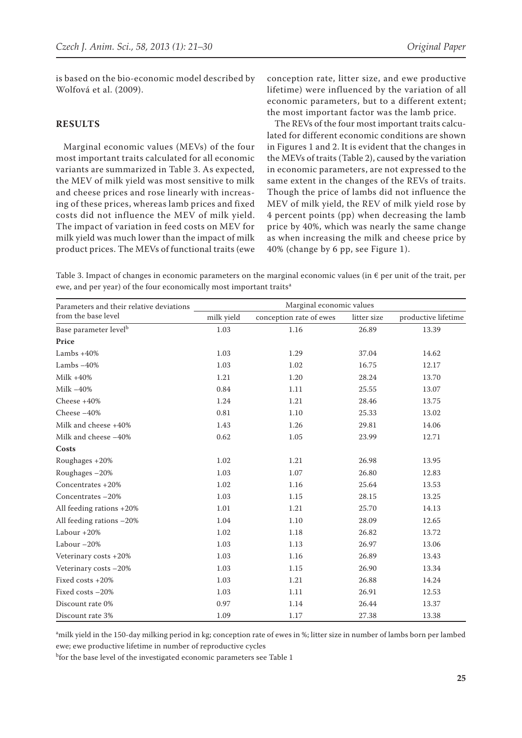is based on the bio-economic model described by Wolfová et al. (2009).

## **RESULTS**

Marginal economic values (MEVs) of the four most important traits calculated for all economic variants are summarized in Table 3. As expected, the MEV of milk yield was most sensitive to milk and cheese prices and rose linearly with increasing of these prices, whereas lamb prices and fixed costs did not influence the MEV of milk yield. The impact of variation in feed costs on MEV for milk yield was much lower than the impact of milk product prices. The MEVs of functional traits (ewe conception rate, litter size, and ewe productive lifetime) were influenced by the variation of all economic parameters, but to a different extent; the most important factor was the lamb price.

The REVs of the four most important traits calculated for different economic conditions are shown in Figures 1 and 2. It is evident that the changes in the MEVs of traits (Table 2), caused by the variation in economic parameters, are not expressed to the same extent in the changes of the REVs of traits. Though the price of lambs did not influence the MEV of milk yield, the REV of milk yield rose by 4 percent points (pp) when decreasing the lamb price by 40%, which was nearly the same change as when increasing the milk and cheese price by 40% (change by 6 pp, see Figure 1).

Table 3. Impact of changes in economic parameters on the marginal economic values (in  $\epsilon$  per unit of the trait, per ewe, and per year) of the four economically most important traits<sup>a</sup>

| Parameters and their relative deviations | Marginal economic values |                         |             |                     |
|------------------------------------------|--------------------------|-------------------------|-------------|---------------------|
| from the base level                      | milk yield               | conception rate of ewes | litter size | productive lifetime |
| Base parameter level <sup>b</sup>        | 1.03                     | 1.16                    | 26.89       | 13.39               |
| Price                                    |                          |                         |             |                     |
| Lambs $+40%$                             | 1.03                     | 1.29                    | 37.04       | 14.62               |
| Lambs $-40%$                             | 1.03                     | 1.02                    | 16.75       | 12.17               |
| Milk $+40%$                              | 1.21                     | 1.20                    | 28.24       | 13.70               |
| Milk $-40%$                              | 0.84                     | 1.11                    | 25.55       | 13.07               |
| Cheese $+40%$                            | 1.24                     | 1.21                    | 28.46       | 13.75               |
| Cheese-40%                               | 0.81                     | 1.10                    | 25.33       | 13.02               |
| Milk and cheese +40%                     | 1.43                     | 1.26                    | 29.81       | 14.06               |
| Milk and cheese -40%                     | 0.62                     | 1.05                    | 23.99       | 12.71               |
| Costs                                    |                          |                         |             |                     |
| Roughages +20%                           | 1.02                     | 1.21                    | 26.98       | 13.95               |
| Roughages -20%                           | 1.03                     | 1.07                    | 26.80       | 12.83               |
| Concentrates +20%                        | 1.02                     | 1.16                    | 25.64       | 13.53               |
| Concentrates -20%                        | 1.03                     | 1.15                    | 28.15       | 13.25               |
| All feeding rations +20%                 | 1.01                     | 1.21                    | 25.70       | 14.13               |
| All feeding rations -20%                 | 1.04                     | 1.10                    | 28.09       | 12.65               |
| Labour $+20%$                            | 1.02                     | 1.18                    | 26.82       | 13.72               |
| Labour $-20%$                            | 1.03                     | 1.13                    | 26.97       | 13.06               |
| Veterinary costs +20%                    | 1.03                     | 1.16                    | 26.89       | 13.43               |
| Veterinary costs -20%                    | 1.03                     | 1.15                    | 26.90       | 13.34               |
| Fixed costs +20%                         | 1.03                     | 1.21                    | 26.88       | 14.24               |
| Fixed costs -20%                         | 1.03                     | 1.11                    | 26.91       | 12.53               |
| Discount rate 0%                         | 0.97                     | 1.14                    | 26.44       | 13.37               |
| Discount rate 3%                         | 1.09                     | 1.17                    | 27.38       | 13.38               |

a milk yield in the 150-day milking period in kg; conception rate of ewes in %; litter size in number of lambs born per lambed ewe; ewe productive lifetime in number of reproductive cycles

b for the base level of the investigated economic parameters see Table 1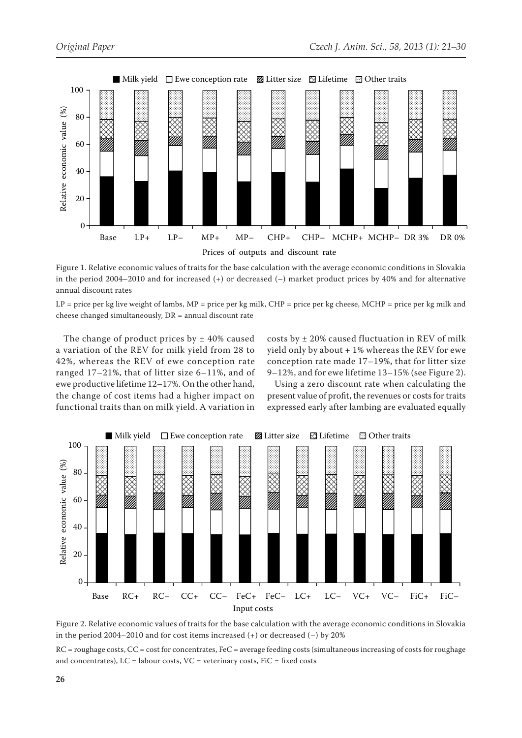

Figure 1. Relative economic values of traits for the base calculation with the average economic conditions in Slovakia in the period 2004–2010 and for increased (+) or decreased (–) market product prices by 40% and for alternative annual discount rates

 $LP$  = price per kg live weight of lambs, MP = price per kg milk, CHP = price per kg cheese, MCHP = price per kg milk and cheese changed simultaneously, DR = annual discount rate

The change of product prices by  $\pm$  40% caused a variation of the REV for milk yield from 28 to 42%, whereas the REV of ewe conception rate ranged 17–21%, that of litter size 6–11%, and of ewe productive lifetime 12–17%. On the other hand, the change of cost items had a higher impact on functional traits than on milk yield. A variation in

costs by  $\pm$  20% caused fluctuation in REV of milk yield only by about + 1% whereas the REV for ewe conception rate made 17–19%, that for litter size 9–12%, and for ewe lifetime 13–15% (see Figure 2).

Using a zero discount rate when calculating the present value of profit, the revenues or costs for traits expressed early after lambing are evaluated equally



Figure 2. Relative economic values of traits for the base calculation with the average economic conditions in Slovakia in the period 2004–2010 and for cost items increased (+) or decreased (–) by 20%

RC = roughage costs, CC = cost for concentrates, FeC = average feeding costs (simultaneous increasing of costs for roughage and concentrates),  $LC =$  labour costs,  $VC =$  veterinary costs,  $FiC =$  fixed costs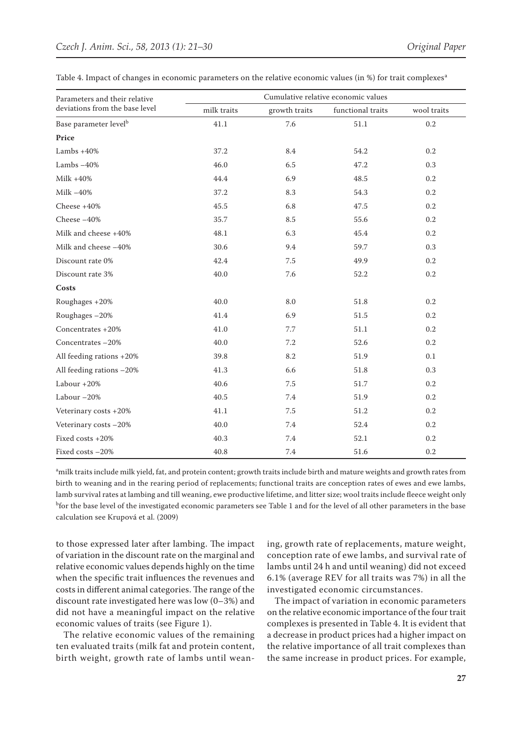| Parameters and their relative     | Cumulative relative economic values |               |                   |             |  |
|-----------------------------------|-------------------------------------|---------------|-------------------|-------------|--|
| deviations from the base level    | milk traits                         | growth traits | functional traits | wool traits |  |
| Base parameter level <sup>b</sup> | 41.1                                | 7.6           | 51.1              | $0.2\,$     |  |
| Price                             |                                     |               |                   |             |  |
| Lambs $+40%$                      | 37.2                                | 8.4           | 54.2              | 0.2         |  |
| Lambs $-40%$                      | 46.0                                | 6.5           | 47.2              | 0.3         |  |
| $Milk + 40%$                      | 44.4                                | 6.9           | 48.5              | 0.2         |  |
| Milk $-40%$                       | 37.2                                | 8.3           | 54.3              | 0.2         |  |
| Cheese $+40%$                     | 45.5                                | 6.8           | 47.5              | 0.2         |  |
| Cheese $-40%$                     | 35.7                                | 8.5           | 55.6              | 0.2         |  |
| Milk and cheese +40%              | 48.1                                | 6.3           | 45.4              | 0.2         |  |
| Milk and cheese -40%              | 30.6                                | 9.4           | 59.7              | 0.3         |  |
| Discount rate 0%                  | 42.4                                | 7.5           | 49.9              | 0.2         |  |
| Discount rate 3%                  | 40.0                                | 7.6           | 52.2              | 0.2         |  |
| Costs                             |                                     |               |                   |             |  |
| Roughages +20%                    | 40.0                                | 8.0           | 51.8              | 0.2         |  |
| Roughages-20%                     | 41.4                                | 6.9           | 51.5              | 0.2         |  |
| Concentrates +20%                 | 41.0                                | 7.7           | 51.1              | $0.2\,$     |  |
| Concentrates -20%                 | 40.0                                | 7.2           | 52.6              | 0.2         |  |
| All feeding rations +20%          | 39.8                                | 8.2           | 51.9              | 0.1         |  |
| All feeding rations -20%          | 41.3                                | 6.6           | 51.8              | 0.3         |  |
| Labour $+20%$                     | 40.6                                | 7.5           | 51.7              | 0.2         |  |
| Labour $-20%$                     | 40.5                                | 7.4           | 51.9              | 0.2         |  |
| Veterinary costs +20%             | 41.1                                | 7.5           | 51.2              | 0.2         |  |
| Veterinary costs -20%             | 40.0                                | 7.4           | 52.4              | 0.2         |  |
| Fixed costs +20%                  | 40.3                                | 7.4           | 52.1              | 0.2         |  |
| Fixed costs -20%                  | 40.8                                | 7.4           | 51.6              | 0.2         |  |

Table 4. Impact of changes in economic parameters on the relative economic values (in %) for trait complexes<sup>a</sup>

a milk traits include milk yield, fat, and protein content; growth traits include birth and mature weights and growth rates from birth to weaning and in the rearing period of replacements; functional traits are conception rates of ewes and ewe lambs, lamb survival rates at lambing and till weaning, ewe productive lifetime, and litter size; wool traits include fleece weight only <sup>b</sup>for the base level of the investigated economic parameters see Table 1 and for the level of all other parameters in the base calculation see Krupová et al. (2009)

to those expressed later after lambing. The impact of variation in the discount rate on the marginal and relative economic values depends highly on the time when the specific trait influences the revenues and costs in different animal categories. The range of the discount rate investigated here was low (0–3%) and did not have a meaningful impact on the relative economic values of traits (see Figure 1).

The relative economic values of the remaining ten evaluated traits (milk fat and protein content, birth weight, growth rate of lambs until weaning, growth rate of replacements, mature weight, conception rate of ewe lambs, and survival rate of lambs until 24 h and until weaning) did not exceed 6.1% (average REV for all traits was 7%) in all the investigated economic circumstances.

The impact of variation in economic parameters on the relative economic importance of the four trait complexes is presented in Table 4. It is evident that a decrease in product prices had a higher impact on the relative importance of all trait complexes than the same increase in product prices. For example,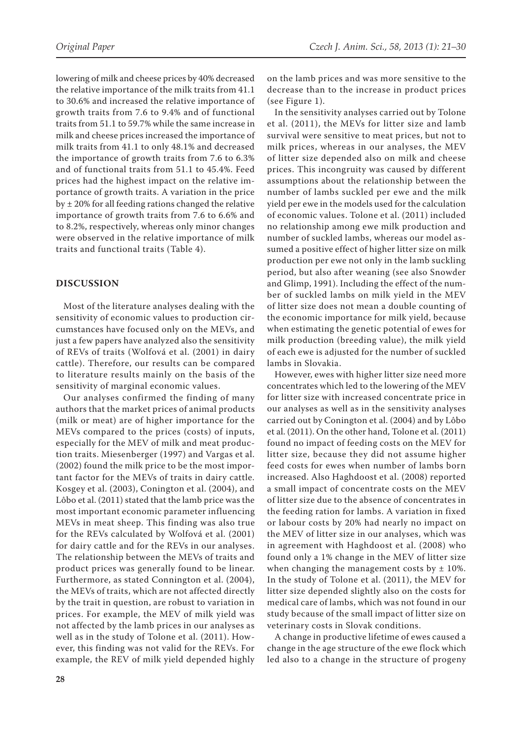lowering of milk and cheese prices by 40% decreased the relative importance of the milk traits from 41.1 to 30.6% and increased the relative importance of growth traits from 7.6 to 9.4% and of functional traits from 51.1 to 59.7% while the same increase in milk and cheese prices increased the importance of milk traits from 41.1 to only 48.1% and decreased the importance of growth traits from 7.6 to 6.3% and of functional traits from 51.1 to 45.4%. Feed prices had the highest impact on the relative importance of growth traits. A variation in the price by  $\pm$  20% for all feeding rations changed the relative importance of growth traits from 7.6 to 6.6% and to 8.2%, respectively, whereas only minor changes were observed in the relative importance of milk traits and functional traits (Table 4).

## **DISCUSSION**

Most of the literature analyses dealing with the sensitivity of economic values to production circumstances have focused only on the MEVs, and just a few papers have analyzed also the sensitivity of REVs of traits (Wolfová et al. (2001) in dairy cattle). Therefore, our results can be compared to literature results mainly on the basis of the sensitivity of marginal economic values.

Our analyses confirmed the finding of many authors that the market prices of animal products (milk or meat) are of higher importance for the MEVs compared to the prices (costs) of inputs, especially for the MEV of milk and meat production traits. Miesenberger (1997) and Vargas et al. (2002) found the milk price to be the most important factor for the MEVs of traits in dairy cattle. Kosgey et al. (2003), Conington et al. (2004), and Lôbo et al. (2011) stated that the lamb price was the most important economic parameter influencing MEVs in meat sheep. This finding was also true for the REVs calculated by Wolfová et al. (2001) for dairy cattle and for the REVs in our analyses. The relationship between the MEVs of traits and product prices was generally found to be linear. Furthermore, as stated Connington et al. (2004), the MEVs of traits, which are not affected directly by the trait in question, are robust to variation in prices. For example, the MEV of milk yield was not affected by the lamb prices in our analyses as well as in the study of Tolone et al. (2011). However, this finding was not valid for the REVs. For example, the REV of milk yield depended highly on the lamb prices and was more sensitive to the decrease than to the increase in product prices (see Figure 1).

In the sensitivity analyses carried out by Tolone et al. (2011), the MEVs for litter size and lamb survival were sensitive to meat prices, but not to milk prices, whereas in our analyses, the MEV of litter size depended also on milk and cheese prices. This incongruity was caused by different assumptions about the relationship between the number of lambs suckled per ewe and the milk yield per ewe in the models used for the calculation of economic values. Tolone et al. (2011) included no relationship among ewe milk production and number of suckled lambs, whereas our model assumed a positive effect of higher litter size on milk production per ewe not only in the lamb suckling period, but also after weaning (see also Snowder and Glimp, 1991). Including the effect of the number of suckled lambs on milk yield in the MEV of litter size does not mean a double counting of the economic importance for milk yield, because when estimating the genetic potential of ewes for milk production (breeding value), the milk yield of each ewe is adjusted for the number of suckled lambs in Slovakia.

However, ewes with higher litter size need more concentrates which led to the lowering of the MEV for litter size with increased concentrate price in our analyses as well as in the sensitivity analyses carried out by Conington et al. (2004) and by Lôbo et al. (2011). On the other hand, Tolone et al. (2011) found no impact of feeding costs on the MEV for litter size, because they did not assume higher feed costs for ewes when number of lambs born increased. Also Haghdoost et al. (2008) reported a small impact of concentrate costs on the MEV of litter size due to the absence of concentrates in the feeding ration for lambs. A variation in fixed or labour costs by 20% had nearly no impact on the MEV of litter size in our analyses, which was in agreement with Haghdoost et al. (2008) who found only a 1% change in the MEV of litter size when changing the management costs by  $\pm$  10%. In the study of Tolone et al. (2011), the MEV for litter size depended slightly also on the costs for medical care of lambs, which was not found in our study because of the small impact of litter size on veterinary costs in Slovak conditions.

A change in productive lifetime of ewes caused a change in the age structure of the ewe flock which led also to a change in the structure of progeny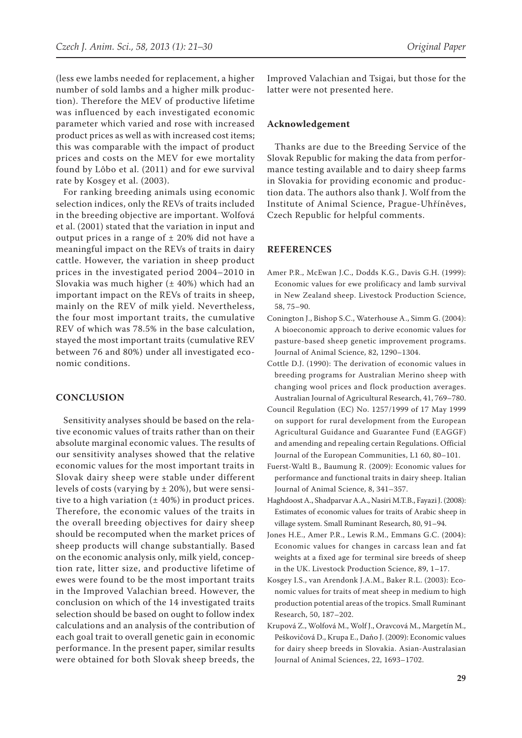(less ewe lambs needed for replacement, a higher number of sold lambs and a higher milk production). Therefore the MEV of productive lifetime was influenced by each investigated economic parameter which varied and rose with increased product prices as well as with increased cost items;

this was comparable with the impact of product prices and costs on the MEV for ewe mortality found by Lôbo et al. (2011) and for ewe survival rate by Kosgey et al. (2003).

For ranking breeding animals using economic selection indices, only the REVs of traits included in the breeding objective are important. Wolfová et al. (2001) stated that the variation in input and output prices in a range of  $\pm$  20% did not have a meaningful impact on the REVs of traits in dairy cattle. However, the variation in sheep product prices in the investigated period 2004–2010 in Slovakia was much higher  $(\pm 40%)$  which had an important impact on the REVs of traits in sheep, mainly on the REV of milk yield. Nevertheless, the four most important traits, the cumulative REV of which was 78.5% in the base calculation, stayed the most important traits (cumulative REV between 76 and 80%) under all investigated economic conditions.

### **CONCLUSION**

Sensitivity analyses should be based on the relative economic values of traits rather than on their absolute marginal economic values. The results of our sensitivity analyses showed that the relative economic values for the most important traits in Slovak dairy sheep were stable under different levels of costs (varying by  $\pm$  20%), but were sensitive to a high variation  $(± 40%)$  in product prices. Therefore, the economic values of the traits in the overall breeding objectives for dairy sheep should be recomputed when the market prices of sheep products will change substantially. Based on the economic analysis only, milk yield, conception rate, litter size, and productive lifetime of ewes were found to be the most important traits in the Improved Valachian breed. However, the conclusion on which of the 14 investigated traits selection should be based on ought to follow index calculations and an analysis of the contribution of each goal trait to overall genetic gain in economic performance. In the present paper, similar results were obtained for both Slovak sheep breeds, the

Improved Valachian and Tsigai, but those for the latter were not presented here.

#### **Acknowledgement**

Thanks are due to the Breeding Service of the Slovak Republic for making the data from performance testing available and to dairy sheep farms in Slovakia for providing economic and production data. The authors also thank J. Wolf from the Institute of Animal Science, Prague-Uhříněves, Czech Republic for helpful comments.

### **REFERENCES**

- Amer P.R., McEwan J.C., Dodds K.G., Davis G.H. (1999): Economic values for ewe prolificacy and lamb survival in New Zealand sheep. Livestock Production Science, 58, 75–90.
- Conington J., Bishop S.C., Waterhouse A., Simm G. (2004): A bioeconomic approach to derive economic values for pasture-based sheep genetic improvement programs. Journal of Animal Science, 82, 1290–1304.
- Cottle D.J. (1990): The derivation of economic values in breeding programs for Australian Merino sheep with changing wool prices and flock production averages. Australian Journal of Agricultural Research, 41, 769–780.
- Council Regulation (EC) No. 1257/1999 of 17 May 1999 on support for rural development from the European Agricultural Guidance and Guarantee Fund (EAGGF) and amending and repealing certain Regulations. Official Journal of the European Communities, L1 60, 80–101.
- Fuerst-Waltl B., Baumung R. (2009): Economic values for performance and functional traits in dairy sheep. Italian Journal of Animal Science, 8, 341–357.
- Haghdoost A., Shadparvar A.A., Nasiri M.T.B., Fayazi J. (2008): Estimates of economic values for traits of Arabic sheep in village system. Small Ruminant Research, 80, 91–94.
- Jones H.E., Amer P.R., Lewis R.M., Emmans G.C. (2004): Economic values for changes in carcass lean and fat weights at a fixed age for terminal sire breeds of sheep in the UK. Livestock Production Science, 89, 1–17.
- Kosgey I.S., van Arendonk J.A.M., Baker R.L. (2003): Economic values for traits of meat sheep in medium to high production potential areas of the tropics. Small Ruminant Research, 50, 187–202.
- Krupová Z., Wolfová M., Wolf J., Oravcová M., Margetín M., Peškovičová D., Krupa E., Daňo J. (2009): Economic values for dairy sheep breeds in Slovakia. Asian-Australasian Journal of Animal Sciences, 22, 1693–1702.